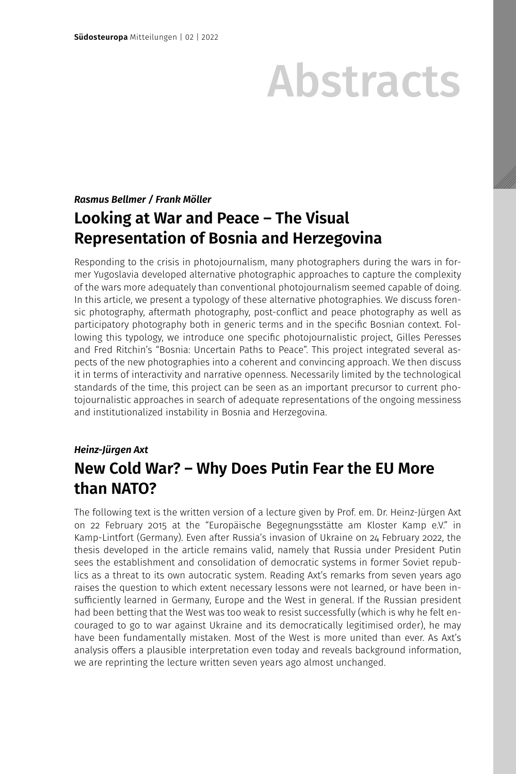# Abstracts

## *Rasmus Bellmer / Frank Möller*

# **Looking at War and Peace – The Visual Representation of Bosnia and Herzegovina**

Responding to the crisis in photojournalism, many photographers during the wars in former Yugoslavia developed alternative photographic approaches to capture the complexity of the wars more adequately than conventional photojournalism seemed capable of doing. In this article, we present a typology of these alternative photographies. We discuss forensic photography, aftermath photography, post-conflict and peace photography as well as participatory photography both in generic terms and in the specific Bosnian context. Following this typology, we introduce one specific photojournalistic project, Gilles Peresses and Fred Ritchin's "Bosnia: Uncertain Paths to Peace". This project integrated several aspects of the new photographies into a coherent and convincing approach. We then discuss it in terms of interactivity and narrative openness. Necessarily limited by the technological standards of the time, this project can be seen as an important precursor to current photojournalistic approaches in search of adequate representations of the ongoing messiness and institutionalized instability in Bosnia and Herzegovina.

## *Heinz-Jürgen Axt* **New Cold War? – Why Does Putin Fear the EU More than NATO?**

The following text is the written version of a lecture given by Prof. em. Dr. Heinz-Jürgen Axt on 22 February 2015 at the "Europäische Begegnungsstätte am Kloster Kamp e.V." in Kamp-Lintfort (Germany). Even after Russia's invasion of Ukraine on 24 February 2022, the thesis developed in the article remains valid, namely that Russia under President Putin sees the establishment and consolidation of democratic systems in former Soviet republics as a threat to its own autocratic system. Reading Axt's remarks from seven years ago raises the question to which extent necessary lessons were not learned, or have been insufficiently learned in Germany, Europe and the West in general. If the Russian president had been betting that the West was too weak to resist successfully (which is why he felt encouraged to go to war against Ukraine and its democratically legitimised order), he may have been fundamentally mistaken. Most of the West is more united than ever. As Axt's analysis offers a plausible interpretation even today and reveals background information, we are reprinting the lecture written seven years ago almost unchanged.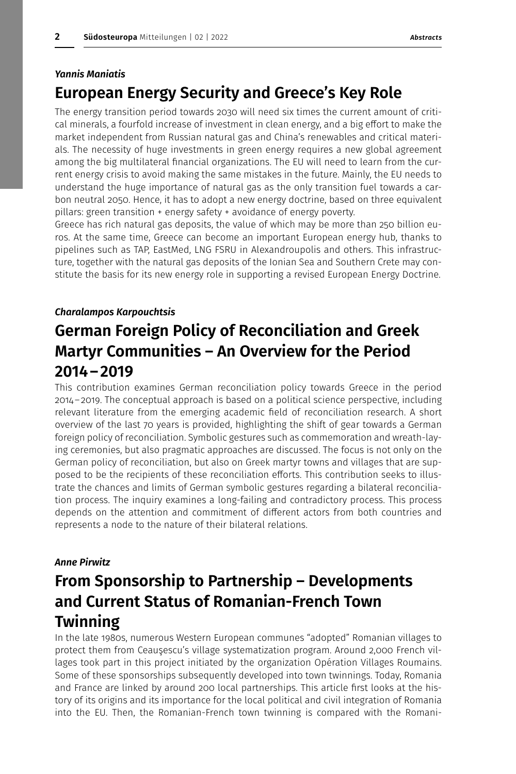#### *Yannis Maniatis*

## **European Energy Security and Greece's Key Role**

The energy transition period towards 2030 will need six times the current amount of critical minerals, a fourfold increase of investment in clean energy, and a big effort to make the market independent from Russian natural gas and China's renewables and critical materials. The necessity of huge investments in green energy requires a new global agreement among the big multilateral financial organizations. The EU will need to learn from the current energy crisis to avoid making the same mistakes in the future. Mainly, the EU needs to understand the huge importance of natural gas as the only transition fuel towards a carbon neutral 2050. Hence, it has to adopt a new energy doctrine, based on three equivalent pillars: green transition + energy safety + avoidance of energy poverty.

Greece has rich natural gas deposits, the value of which may be more than 250 billion euros. At the same time, Greece can become an important European energy hub, thanks to pipelines such as TAP, EastMed, LNG FSRU in Alexandroupolis and others. This infrastructure, together with the natural gas deposits of the Ionian Sea and Southern Crete may constitute the basis for its new energy role in supporting a revised European Energy Doctrine.

#### *Charalampos Karpouchtsis*

# **German Foreign Policy of Reconciliation and Greek Martyr Communities – An Overview for the Period 2014–2019**

This contribution examines German reconciliation policy towards Greece in the period 2014–2019. The conceptual approach is based on a political science perspective, including relevant literature from the emerging academic field of reconciliation research. A short overview of the last 70 years is provided, highlighting the shift of gear towards a German foreign policy of reconciliation. Symbolic gestures such as commemoration and wreath-laying ceremonies, but also pragmatic approaches are discussed. The focus is not only on the German policy of reconciliation, but also on Greek martyr towns and villages that are supposed to be the recipients of these reconciliation efforts. This contribution seeks to illustrate the chances and limits of German symbolic gestures regarding a bilateral reconciliation process. The inquiry examines a long-failing and contradictory process. This process depends on the attention and commitment of different actors from both countries and represents a node to the nature of their bilateral relations.

### *Anne Pirwitz*

# **From Sponsorship to Partnership – Developments and Current Status of Romanian-French Town Twinning**

In the late 1980s, numerous Western European communes "adopted" Romanian villages to protect them from Ceauşescu's village systematization program. Around 2,000 French villages took part in this project initiated by the organization Opération Villages Roumains. Some of these sponsorships subsequently developed into town twinnings. Today, Romania and France are linked by around 200 local partnerships. This article first looks at the history of its origins and its importance for the local political and civil integration of Romania into the EU. Then, the Romanian-French town twinning is compared with the Romani